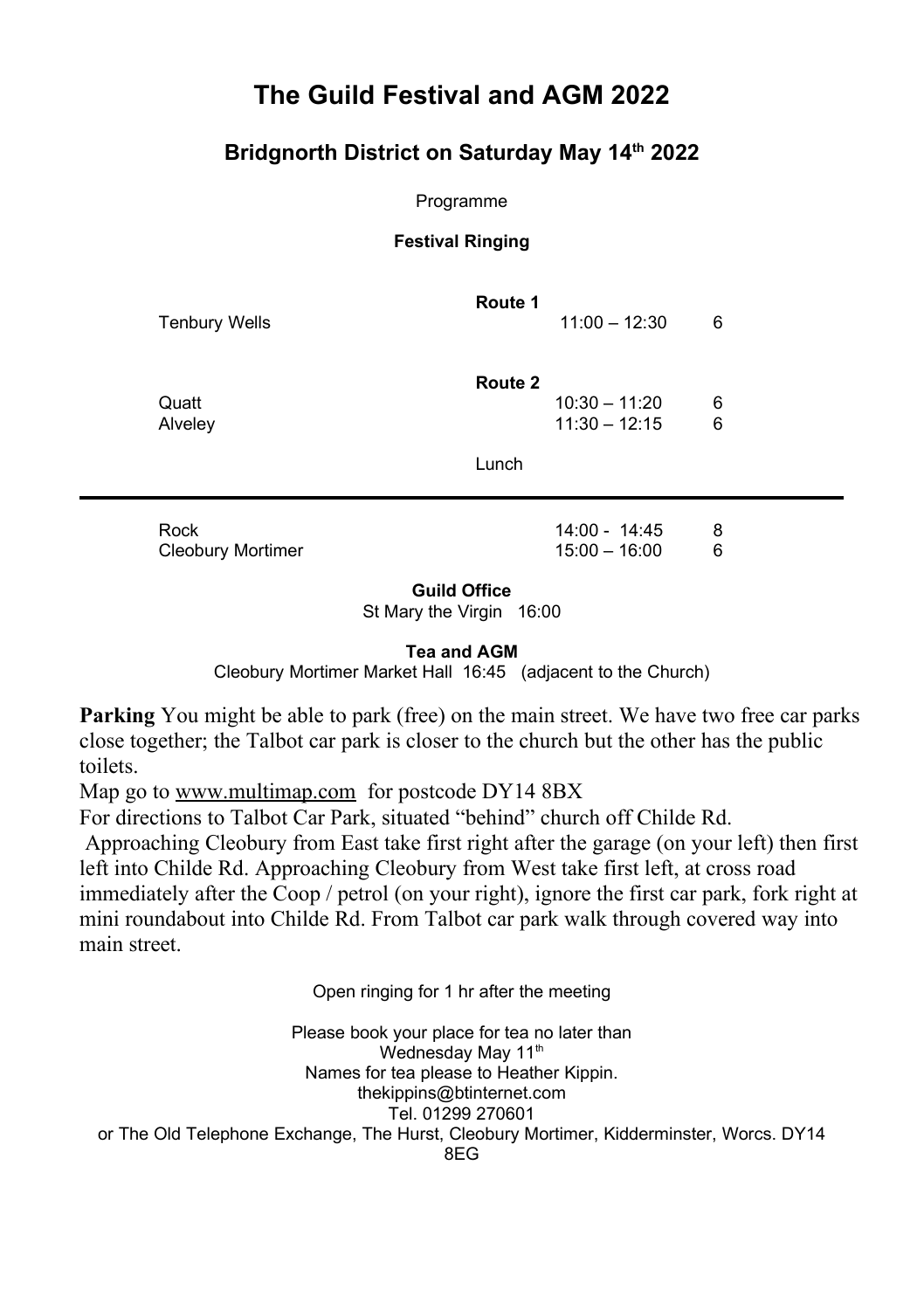## **The Guild Festival and AGM 2022**

## **Bridgnorth District on Saturday May 14th 2022**

Programme

**Festival Ringing**

**Route 1** Tenbury Wells 11:00 – 12:30 6

**Route 2**

Quatt 10:30 – 11:20 6 Alveley 11:30 – 12:15 6

Lunch

Rock 14:00 - 14:45 8<br>Cleobury Mortimer 15:00 - 15:00 - 16:00 6 Cleobury Mortimer 15:00 – 16:00 6

**Guild Office**

St Mary the Virgin 16:00

**Tea and AGM**

Cleobury Mortimer Market Hall 16:45 (adjacent to the Church)

**Parking** You might be able to park (free) on the main street. We have two free car parks close together; the Talbot car park is closer to the church but the other has the public toilets.

Map go to [www.multimap.com](http://www.multimap.com/) for postcode DY14 8BX

For directions to Talbot Car Park, situated "behind" church off Childe Rd.

Approaching Cleobury from East take first right after the garage (on your left) then first left into Childe Rd. Approaching Cleobury from West take first left, at cross road immediately after the Coop / petrol (on your right), ignore the first car park, fork right at mini roundabout into Childe Rd. From Talbot car park walk through covered way into main street.

Open ringing for 1 hr after the meeting

Please book your place for tea no later than Wednesday May 11<sup>th</sup> Names for tea please to Heather Kippin. thekippins@btinternet.com Tel. 01299 270601 or The Old Telephone Exchange, The Hurst, Cleobury Mortimer, Kidderminster, Worcs. DY14 8EG